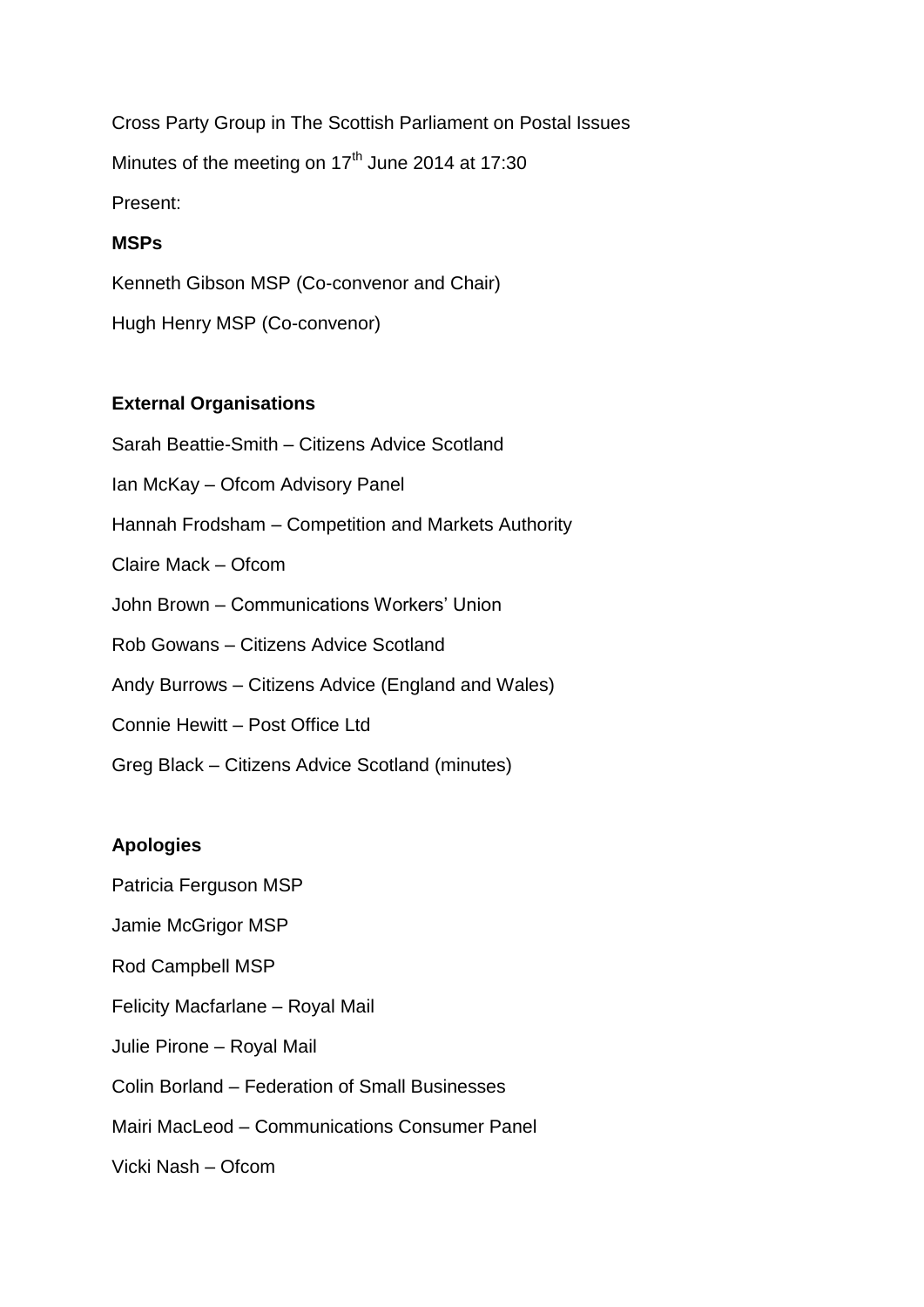Cross Party Group in The Scottish Parliament on Postal Issues Minutes of the meeting on 17<sup>th</sup> June 2014 at 17:30 Present:

#### **MSPs**

Kenneth Gibson MSP (Co-convenor and Chair) Hugh Henry MSP (Co-convenor)

#### **External Organisations**

Sarah Beattie-Smith – Citizens Advice Scotland Ian McKay – Ofcom Advisory Panel Hannah Frodsham – Competition and Markets Authority Claire Mack – Ofcom John Brown – Communications Workers' Union Rob Gowans – Citizens Advice Scotland Andy Burrows – Citizens Advice (England and Wales) Connie Hewitt – Post Office Ltd

Greg Black – Citizens Advice Scotland (minutes)

#### **Apologies**

Patricia Ferguson MSP Jamie McGrigor MSP Rod Campbell MSP Felicity Macfarlane – Royal Mail Julie Pirone – Royal Mail Colin Borland – Federation of Small Businesses Mairi MacLeod – Communications Consumer Panel

Vicki Nash – Ofcom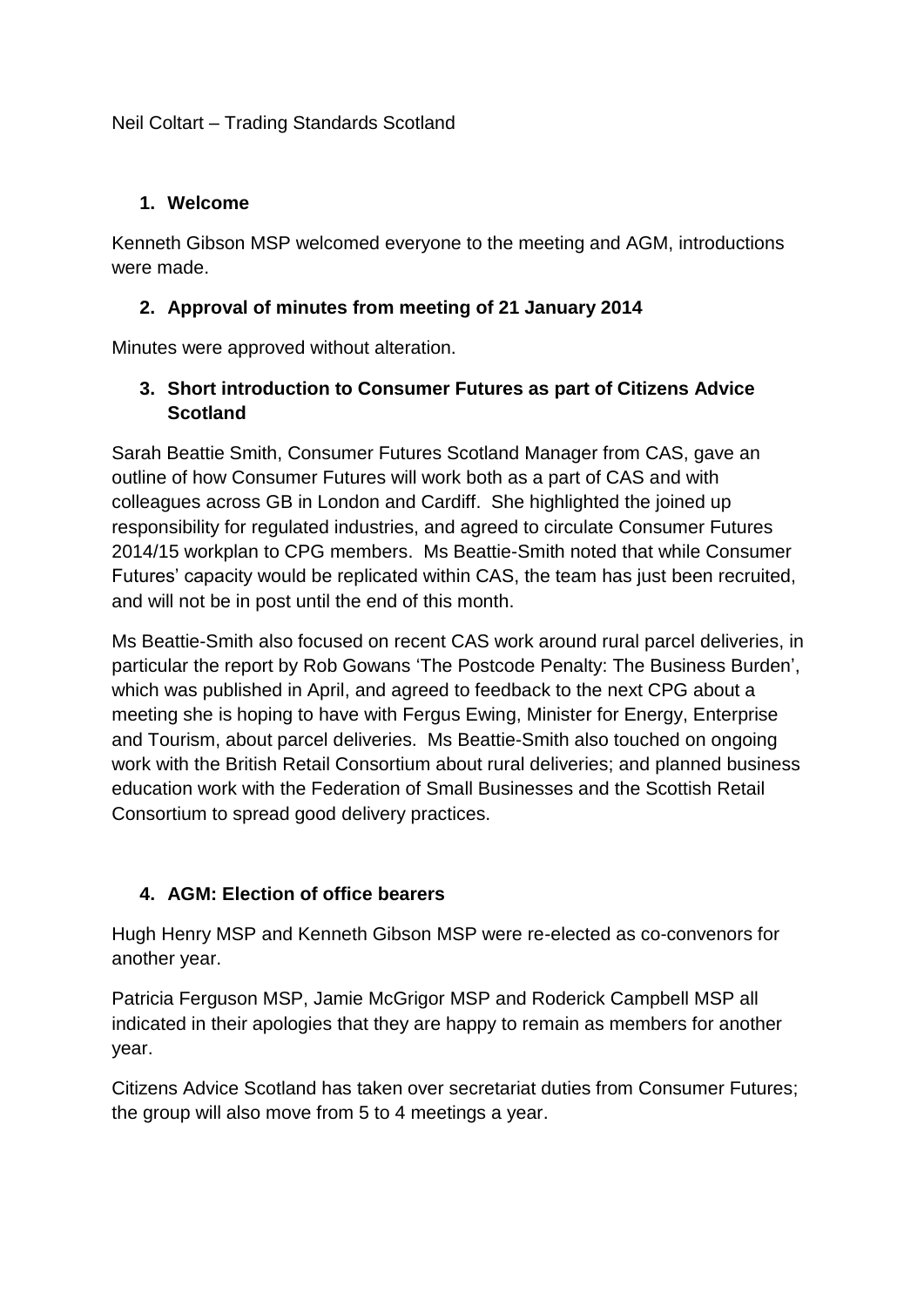## Neil Coltart – Trading Standards Scotland

#### **1. Welcome**

Kenneth Gibson MSP welcomed everyone to the meeting and AGM, introductions were made.

## **2. Approval of minutes from meeting of 21 January 2014**

Minutes were approved without alteration.

## **3. Short introduction to Consumer Futures as part of Citizens Advice Scotland**

Sarah Beattie Smith, Consumer Futures Scotland Manager from CAS, gave an outline of how Consumer Futures will work both as a part of CAS and with colleagues across GB in London and Cardiff. She highlighted the joined up responsibility for regulated industries, and agreed to circulate Consumer Futures 2014/15 workplan to CPG members. Ms Beattie-Smith noted that while Consumer Futures' capacity would be replicated within CAS, the team has just been recruited, and will not be in post until the end of this month.

Ms Beattie-Smith also focused on recent CAS work around rural parcel deliveries, in particular the report by Rob Gowans 'The Postcode Penalty: The Business Burden', which was published in April, and agreed to feedback to the next CPG about a meeting she is hoping to have with Fergus Ewing, Minister for Energy, Enterprise and Tourism, about parcel deliveries. Ms Beattie-Smith also touched on ongoing work with the British Retail Consortium about rural deliveries; and planned business education work with the Federation of Small Businesses and the Scottish Retail Consortium to spread good delivery practices.

## **4. AGM: Election of office bearers**

Hugh Henry MSP and Kenneth Gibson MSP were re-elected as co-convenors for another year.

Patricia Ferguson MSP, Jamie McGrigor MSP and Roderick Campbell MSP all indicated in their apologies that they are happy to remain as members for another year.

Citizens Advice Scotland has taken over secretariat duties from Consumer Futures; the group will also move from 5 to 4 meetings a year.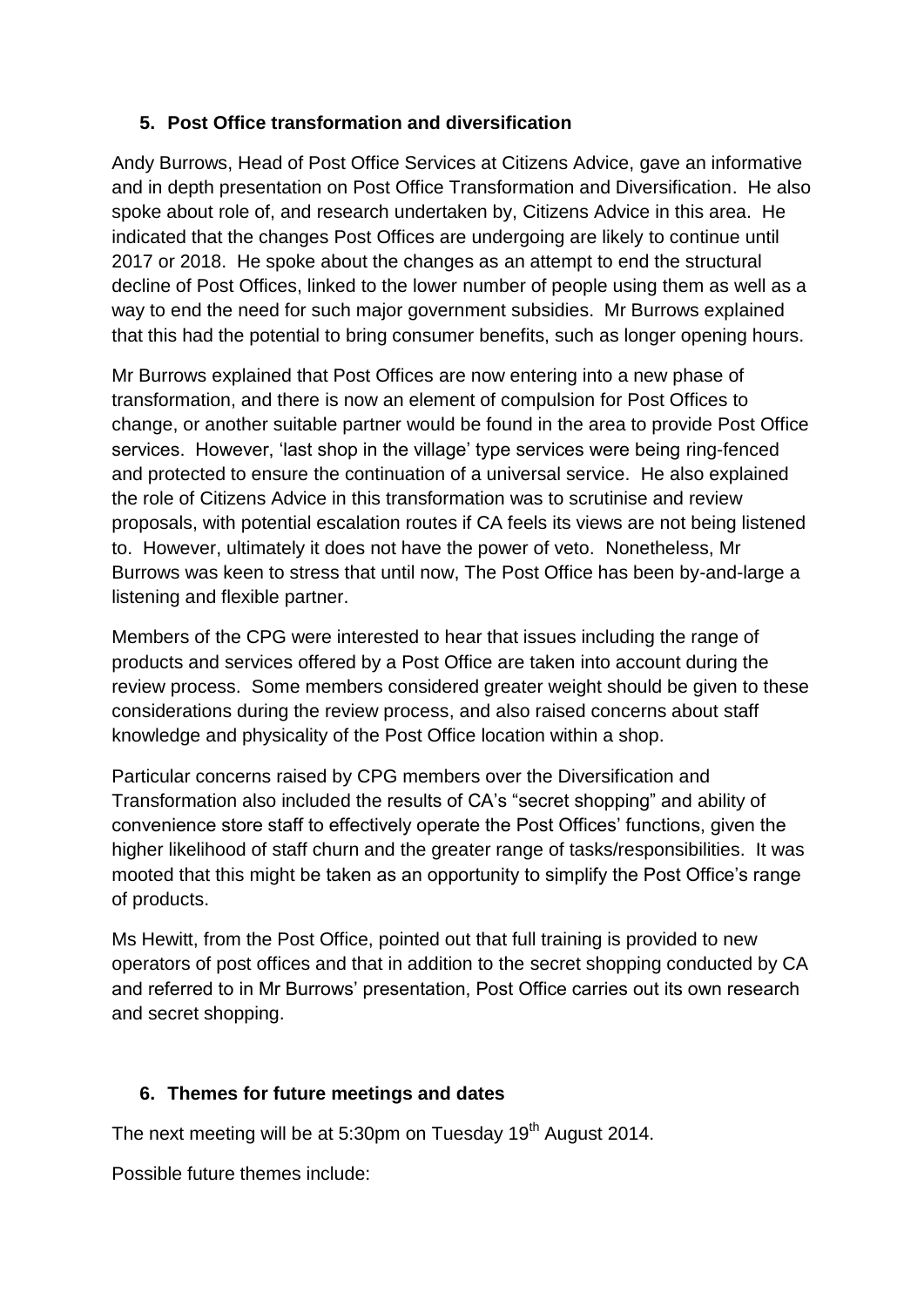## **5. Post Office transformation and diversification**

Andy Burrows, Head of Post Office Services at Citizens Advice, gave an informative and in depth presentation on Post Office Transformation and Diversification. He also spoke about role of, and research undertaken by, Citizens Advice in this area. He indicated that the changes Post Offices are undergoing are likely to continue until 2017 or 2018. He spoke about the changes as an attempt to end the structural decline of Post Offices, linked to the lower number of people using them as well as a way to end the need for such major government subsidies. Mr Burrows explained that this had the potential to bring consumer benefits, such as longer opening hours.

Mr Burrows explained that Post Offices are now entering into a new phase of transformation, and there is now an element of compulsion for Post Offices to change, or another suitable partner would be found in the area to provide Post Office services. However, 'last shop in the village' type services were being ring-fenced and protected to ensure the continuation of a universal service. He also explained the role of Citizens Advice in this transformation was to scrutinise and review proposals, with potential escalation routes if CA feels its views are not being listened to. However, ultimately it does not have the power of veto. Nonetheless, Mr Burrows was keen to stress that until now, The Post Office has been by-and-large a listening and flexible partner.

Members of the CPG were interested to hear that issues including the range of products and services offered by a Post Office are taken into account during the review process. Some members considered greater weight should be given to these considerations during the review process, and also raised concerns about staff knowledge and physicality of the Post Office location within a shop.

Particular concerns raised by CPG members over the Diversification and Transformation also included the results of CA's "secret shopping" and ability of convenience store staff to effectively operate the Post Offices' functions, given the higher likelihood of staff churn and the greater range of tasks/responsibilities. It was mooted that this might be taken as an opportunity to simplify the Post Office's range of products.

Ms Hewitt, from the Post Office, pointed out that full training is provided to new operators of post offices and that in addition to the secret shopping conducted by CA and referred to in Mr Burrows' presentation, Post Office carries out its own research and secret shopping.

# **6. Themes for future meetings and dates**

The next meeting will be at 5:30pm on Tuesday 19<sup>th</sup> August 2014.

Possible future themes include: